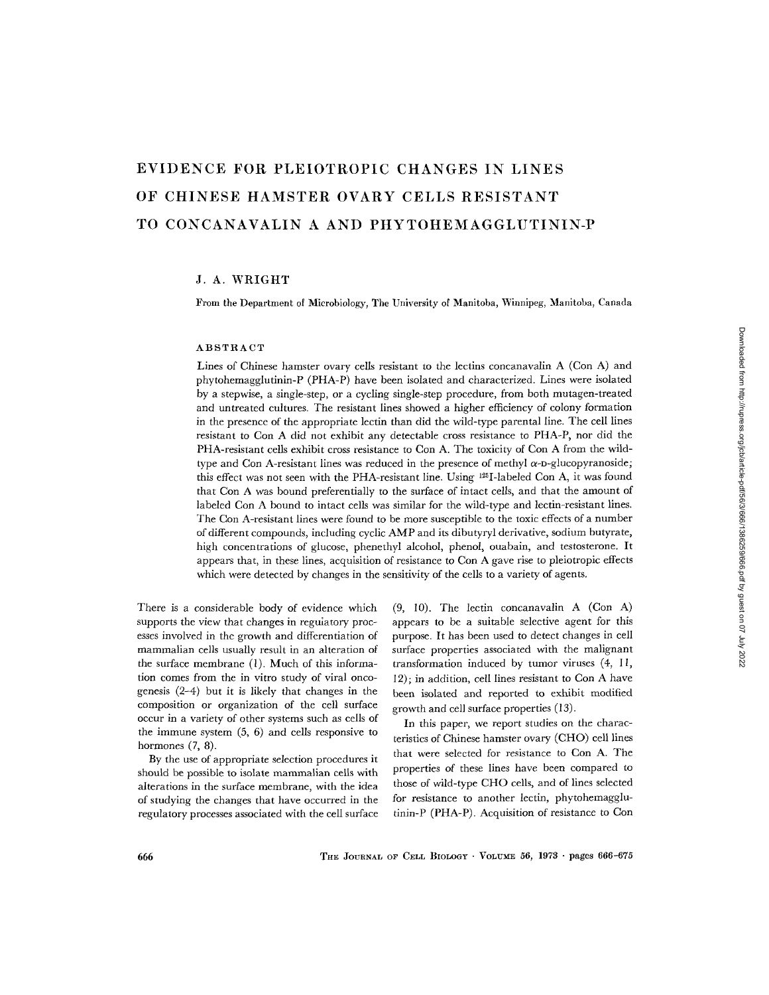# **EVIDENCE FOR PLEIOTROPIC CHANGES IN LINES OF CHINESE HAMSTER OVARY CELLS RESISTANT TO CONCANAVALIN A AND PHYTOHEMAGGLUTININ-P**

## J. A. WRIGHT

From the Department of Microbiology, The University of Manitoba, Winnipeg, Manitoba, Canada

#### ABSTRACT

Lines of Chinese hamster ovary cells resistant to the lectins concanavalin A (Con A) and phytohemagglutinin-P (PHA-P) have been isolated and characterized. Lines were isolated by a stepwise, a single-step, or a cycling single-step procedure, from both mutagen-treated and untreated cultures. The resistant lines showed a higher efficiency of colony formation in the presence of the appropriate lectin than did the wild-type parental line. The cell lines resistant to Con A did not exhibit any detectable cross resistance to PHA-P, nor did the PHA-resistant cells exhibit cross resistance to Con A. The toxicity of Con A from the wildtype and Con A-resistant lines was reduced in the presence of methyl  $\alpha$ -D-glucopyranoside; this effect was not seen with the PHA-resistant line. Using  $^{125}I$ -labeled Con A, it was found that Con A was bound preferentially to the surface of intact cells, and that the amount of labeled Con A bound to intact cells was similar for the wild-type and lectin-resistant lines. The Con A-resistant lines were found to be more susceptible to the toxic effects of a number of different compounds, including cyclic AMP and its dibutyryl derivative, sodium butyrate, high concentrations of glucose, phenethyl alcohol, phenol, ouabain, and testosterone. It appears that, in these lines, acquisition of resistance to Con A gave rise to pleiotropic effects which were detected by changes in the sensitivity of the cells to a variety of agents.

There is a considerable body of evidence which supports the view that changes in regulatory processes involved in the growth and differentiation of mammalian cells usually result in an alteration of the surface membrane (1). Much of this information comes from the in vitro study of viral oncogenesis (2-4) but it is likely that changes in the composition or organization of the cell surface occur in a variety of other systems such as cells of the immune system (5, 6) and cells responsive to hormones  $(7, 8)$ .

By the use of appropriate selection procedures it should be possible to isolate mammalian cells with alterations in the surface membrane, with the idea of studying the changes that have occurred in the regulatory processes associated with the cell surface

(9, 10). The lectin concanavalin A (Con A) appears to be a suitable selective agent for this purpose. It has been used to detect changes in cell surface properties associated with the malignant transformation induced by tumor viruses (4, I I, 12); in addition, cell lines resistant to Con A have been isolated and reported to exhibit modified growth and cell surface properties (13).

In this paper, we report studies on the characteristics of Chinese hamster ovary (CHO) cell lines that were selected for resistance to Con A. The properties of these lines have been compared to those of wild-type CHO cells, and of lines selected for resistance to another lectin, phytohemagglutinin-P (PHA-P). Acquisition of resistance to Con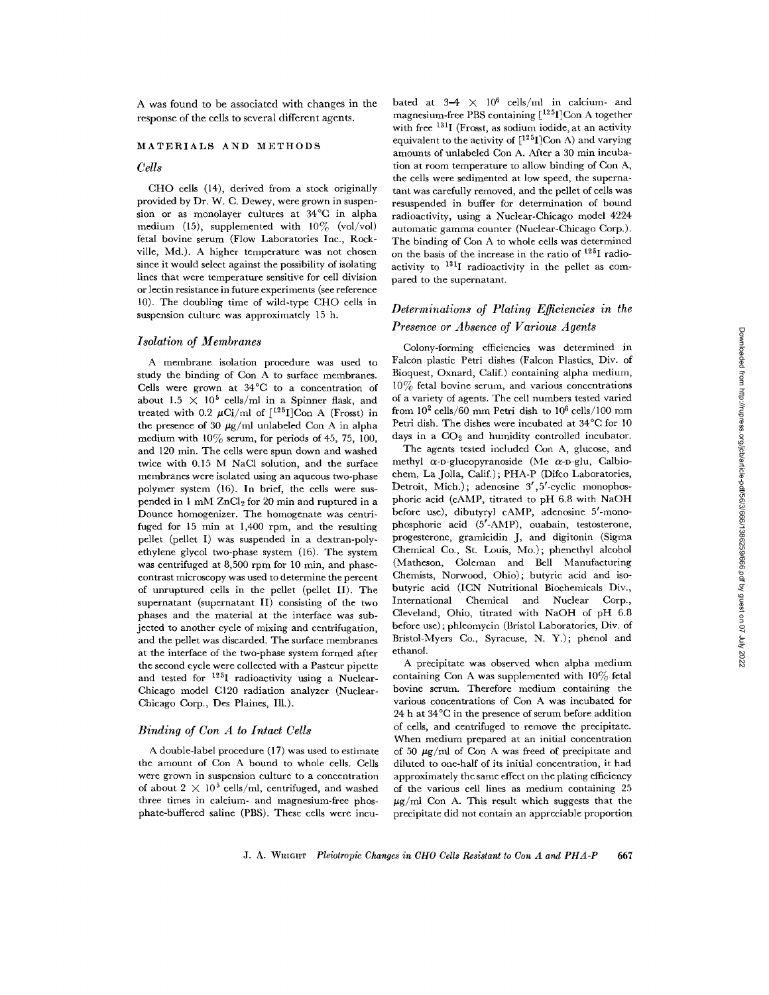A was found to be associated with changes in the response of the cells to several different agents.

## MATERIALS AND METHODS

# *Cells*

CHO cells (14), derived from a stock originally provided by Dr. W. C. Dewey, were grown in suspension or as monolayer cultures at 34°C in alpha medium (15), supplemented with  $10\%$  (vol/vol) fetal bovine serum (Flow Laboratories Inc., Rockville, Md.). A higher temperature was not chosen since it would select against the possibility of isolating lines that were temperature sensitive for cell division or lectin resistance in future experiments (see reference 10). The doubling time of wild-type CHO cells in suspension culture was approximately 15 h.

#### *Isolation of Membranes*

A membrane isolation procedure was used to study the binding of Con A to surface membranes. Cells were grown at 34°C to a concentration of about 1.5  $\times$  10<sup>5</sup> cells/ml in a Spinner flask, and treated with 0.2  $\mu$ Ci/ml of [<sup>125</sup>I]Con A (Frosst) in the presence of 30  $\mu$ g/ml unlabeled Con A in alpha medium with  $10\%$  serum, for periods of 45, 75, 100, and 120 min. The cells were spun down and washed twice with 0.15 M NaC1 solution, and the surface membranes were isolated using an aqueous two-phase polymer system (16). In brief, the cells were suspended in  $1 \text{ mM } ZnCl_2$  for 20 min and ruptured in a Dounce homogenizer. The homogenate was centrifuged for  $15$  min at  $1,400$  rpm, and the resulting pellet (pellet I) was suspended in a dextran-polyethylene glycol two-phase system (16). The system was centrifuged at 8,500 rpm for 10 min, and phasecontrast microscopy was used to determine the percent of unruptured cells in the pellet (pellet II). The supernatant (supernatant II) consisting of the two phases and the material at the interface was subjected to another cycle of mixing and centrifugation, and the pellet was discarded. The surface membranes at the interface of the two-phase system formed after the second cycle were collected with a Pasteur pipette and tested for 125I radioactivity using a Nuclear-Chicago model C120 radiation analyzer (Nuclear-Chicago Corp., Des Plaines, Ill.).

## *Binding of Con A to Intact Cells*

A double-label procedure (17) was used to estimate the amount of Con A bound to whole cells. Cells were grown in suspension culture to a concentration of about  $2 \times 10^5$  cells/ml, centrifuged, and washed three times in calcium- and magnesium-free phosphate-buffered saline (PBS). These cells were incu-

bated at  $3-4 \times 10^6$  cells/ml in calcium- and magnesium-free PBS containing  $\rm [^{125}I]Con$  A together with free <sup>131</sup>I (Frosst, as sodium iodide, at an activity equivalent to the activity of  $[^{125}I]$ Con A) and varying amounts of unlabeled Con A. After a 30 min incubation at room temperature to allow binding of Con A, the cells were sedimented at low speed, the supernatant was carefully removed, and the pellet of cells was resuspended in buffer for determination of bound radioactivity, using a Nuclear-Chicago model 4224 automatic gamma counter (Nuclear-Chicago Corp.). The binding of Con A to whole cells was determined on the basis of the increase in the ratio of 125I radioactivity to  $131$ I radioactivity in the pellet as compared to the supernatant.

# *Determinations of Plating Efficlencies in the Presence or Absence of Various Agents*

Colony-forming efficiencies was determined in Falcon plastic Petri dishes (Falcon Plastics, Div. of Bioqucst, Oxnard, Calif.) containing alpha medium,  $10\%$  fetal bovine serum, and various concentrations of a variety of agents. The cell numbers tested varied from  $10^2$  cells/60 mm Petri dish to  $10^6$  cells/100 mm Petri dish. The dishes were incubated at 34°C for l0 days in a  $CO<sub>2</sub>$  and humidity controlled incubator.

The agents tested included Con A, glucose, and methyl  $\alpha$ -D-glucopyranoside (Me  $\alpha$ -D-glu, Calbiochem, La Jolla, Calif.); PHA-P (Difco Laboratories, Detroit, Mich.); adenosine 3',5'-cyclic monophosphoric acid (cAMP, titrated to pH 6.8 with NaOH before use), dibutyryl cAMP, adenosine 5'-monophosphoric acid (5'-AMP), ouabain, testosterone, progesterone, gramicidin J, and digitonin (Sigma Chemical Co., St. Louis, Mo.); phenethyl alcohol (Matheson, Coleman and Bell Manufacturing Chemists, Norwood, Ohio); butyric acid and isobutyric acid (ICN Nutritional Biochemicals Div., International Chemical and Nuclear Corp., Cleveland, Ohio, titrated with NaOH of pH 6.8 before use) ; phleomycin (Bristol Laboratories, Div. of Bristol-Myers Co., Syracuse, N. Y.); phenol and ethanol.

A precipitate was observed when alpha medium containing Con A was supplemented with  $10\%$  fetal bovine serum. Therefore medium containing the various concentrations of Con A was incubated for 24 h at 34°C in the presence of serum before addition of cells, and centrifuged to remove the precipitate. When medium prepared at an initial concentration of 50  $\mu$ g/ml of Con A was freed of precipitate and diluted to one-half of its initial concentration, it had approximately the same effect on the plating efficiency of the various cell lines as medium containing 25  $\mu$ g/ml Con A. This result which suggests that the precipitate did not contain an appreciable proportion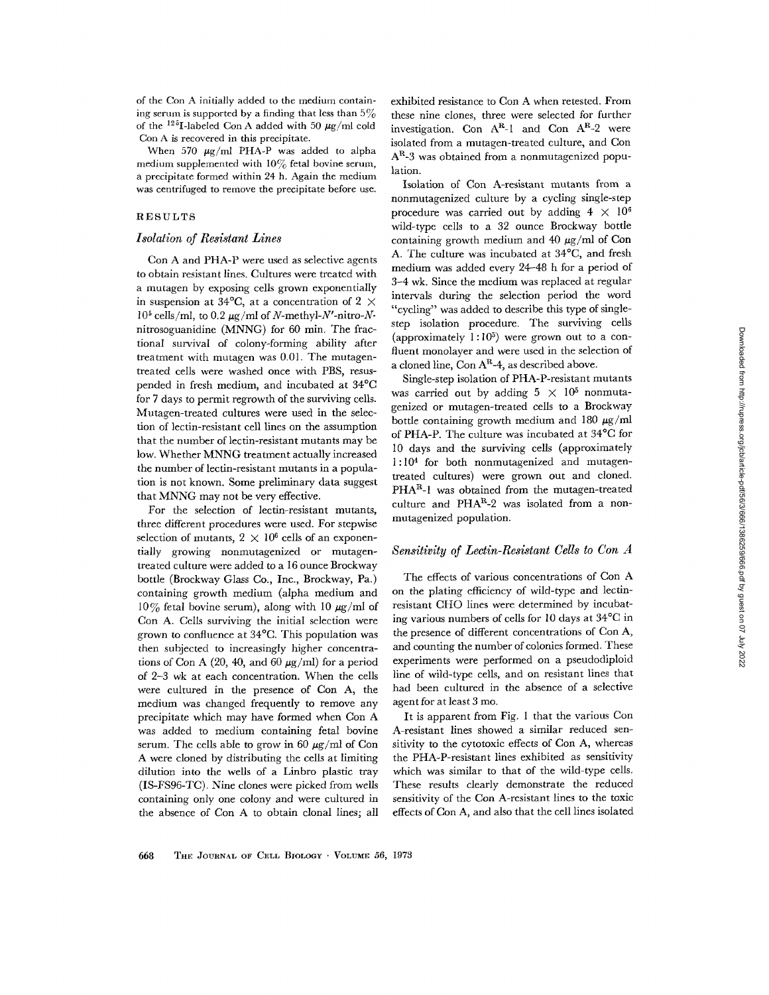of the Con A initially added to the medium containing serum is supported by a finding that less than  $5\%$ of the <sup>125</sup>I-labeled Con A added with 50  $\mu$ g/ml cold Con A is recovered in this precipitate.

When 570  $\mu$ g/ml PHA-P was added to alpha medium supplemented with  $10\%$  fetal bovine serum, a precipitate formed within 24 h. Again the medium was centrifuged to remove the precipitate before use.

## RESULTS

#### *Isolation of Resistant Lines*

Con A and PHA-P were used as selective agents to obtain resistant lines. Cultures were treated with a mutagen by exposing cells grown exponentially in suspension at 34 $\mathrm{^{\circ}C}$ , at a concentration of 2  $\times$  $10^5$  cells/ml, to 0.2  $\mu$ g/ml of *N*-methyl-*N'*-nitro-*N*nitrosoguanidine (MNNG) for  $60$  min. The fractional survival of colony-forming ability after treatment with mutagen was 0.0l. The mutagentreated cells were washed once with PBS, resuspended in fresh medium, and incubated at 34°C for 7 days to permit regrowth of the surviving cells. Mutagen-treated cultures were used in the selection of lectin-resistant cell lines on the assumption that the number of lectin-resistant mutants may be low. Whether MNNG treatment actually increased the number of lectin-resistant mutants in a population is not known. Some preliminary data suggest that MNNG may not be very effective.

For the selection of lectin-resistant mutants, three different procedures were used. For stepwise selection of mutants,  $2 \times 10^6$  cells of an exponentially growing nonmutagenized or mutagentreated culture were added to a 16 ounce Brockway bottle (Brockway Glass Co., Inc., Brockway, Pa.) containing growth medium (alpha medium and  $10\%$  fetal bovine serum), along with 10  $\mu$ g/ml of Con A. Ceils surviving the initial selection were grown to confluence at 34°C. This population was then subjected to increasingly higher concentrations of Con A (20, 40, and 60  $\mu$ g/ml) for a period of 2-3 wk at each concentration. When the cells were cultured in the presence of Con A, the medium was changed frequently to remove any precipitate which may have formed when Con A was added to medium containing fetal bovine serum. The cells able to grow in 60  $\mu\rm g/\rm ml$  of Con A were cloned by distributing the cells at limiting dilution into the wells of a Linbro plastic tray (IS-FS96-TC). Nine clones were picked from wells containing only one colony and were cultured in the absence of Con A to obtain clonal lines; all exhibited resistance to Con A when retested. From these nine clones, three were selected for further investigation. Con  $A^{R}-1$  and Con  $A^{R}-2$  were isolated from a mutagen-treated culture, and Con  $A<sup>R</sup>$ -3 was obtained from a nonmutagenized population.

Isolation of Con A-resistant mutants from a nonmutagenized culture by a cycling single-step procedure was carried out by adding  $4 \times 10^6$ wild-type cells to a 32 ounce Brockway bottle containing growth medium and 40  $\mu$ g/ml of Con A. The culture was incubated at 34°C, and fresh medium was added every 24-48 h for a period of 3-4 wk. Since the medium was replaced at regular intervals during the selection period the word "cycling" was added to describe this type of singlestep isolation procedure. The surviving ceils (approximately  $1:10^5$ ) were grown out to a confluent monolayer and were used in the selection of a cloned line, Con  $A^R-4$ , as described above.

Single-step isolation of PHA-P-resistant mutants was carried out by adding  $5 \times 10^5$  nonmutagenized or mutagen-treated cells to a Brockway bottle containing growth medium and 180  $\mu$ g/ml of PHA-P. The culture was incubated at 34°C for 10 days and the surviving cells (approximately 1:104 for both nonmutagenized and mutagentreated cultures) were grown out and cloned.  $PHA<sup>R</sup>-1$  was obtained from the mutagen-treated culture and  $PHA<sup>R</sup>-2$  was isolated from a nonmutagenized population.

#### *Sensitivity of Lectin-Resistant Cells to Con A*

The effects of various concentrations of Con A on the plating efficiency of wild-type and lectinresistant CHO lines were determined by incubating various numbers of cells for 10 days at 34°C in the presence of different concentrations of Con A, and counting the number of colonies formed. These experiments were performed on a pseudodiploid line of wild-type cells, and on resistant lines that had been cultured in the absence of a selective agent for at least 3 mo.

It is apparent from Fig. 1 that the various Con A-resistant lines showed a similar reduced sensitivity to the cytotoxic effects of Con A, whereas the PHA-P-resistant lines exhibited as sensitivity which was similar to that of the wild-type cells. These results clearly demonstrate the reduced sensitivity of the Con A-resistant lines to the toxic effects of Con A, and also that the cell lines isolated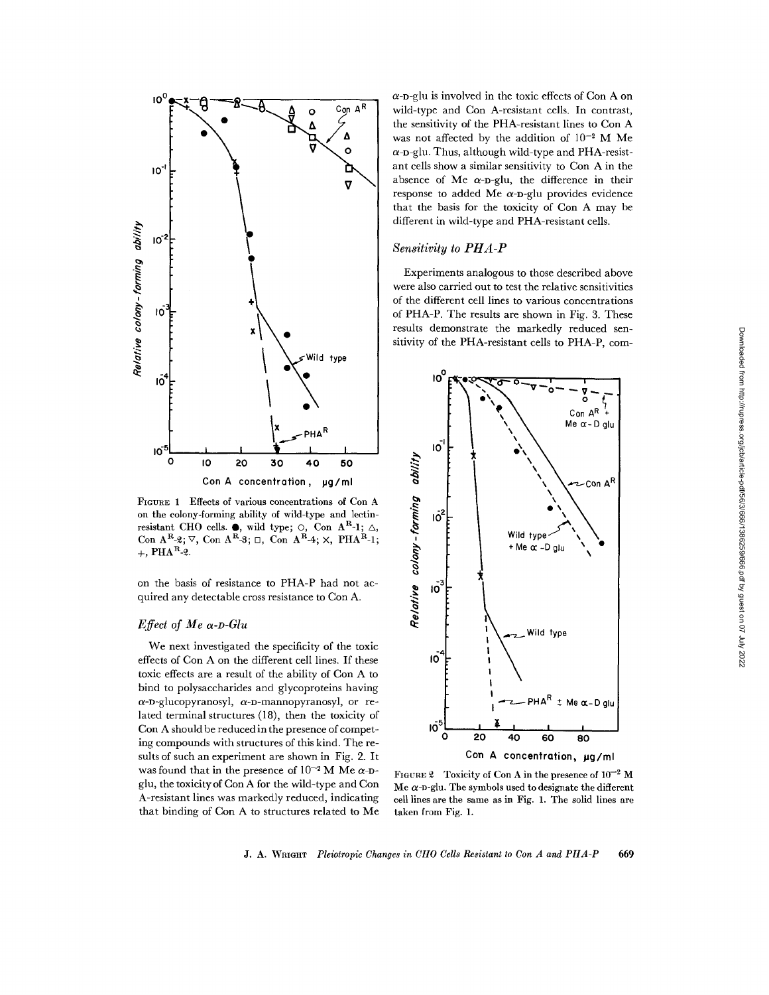

FIGURE 1 Effects of various concentrations of Con A on the colony-forming ability of wild-type and lectinresistant CHO cells.  $\bullet$ , wild type;  $\circ$ , Con A<sup>rt</sup>-1;  $\triangle$ , Con  $A^{R} - 2$ ;  $\nabla$ , Con  $A^{R} - 3$ ;  $\square$ , Con  $A^{R} - 4$ ;  $\times$ , PHA<sup>R</sup>-1;  $+$ , PHA<sup>R</sup>-2.

on the basis of resistance to PHA-P had not acquired any detectable cross resistance to Con A.

# *Effect of Me a-D-Glu*

We next investigated the specificity of the toxic effects of Con A on the different cell lines. If these toxic effects are a result of the ability of Con A to bind to polysaccharides and glycoproteins having  $\alpha$ -D-glucopyranosyl,  $\alpha$ -D-mannopyranosyl, or related terminal structures (18), then the toxicity of Con A should be reduced in the presence of competing compounds with structures of this kind. The results of such an experiment are shown in Fig. 2. It was found that in the presence of  $10^{-2}$  M Me  $\alpha$ -Dglu, the toxicityof Con A for the wild-type and Con A-resistant lines was markedly reduced, indicating that binding of Con A to structures related to Me  $\alpha$ -D-glu is involved in the toxic effects of Con A on wild-type and Con A-resistant cells. In contrast, the sensitivity of the PHA-resistant lines to Con A was not affected by the addition of  $10^{-2}$  M Me  $\alpha$ -D-glu. Thus, although wild-type and PHA-resistant cells show a similar sensitivity to Con A in the absence of Me  $\alpha$ -p-glu, the difference in their response to added Me  $\alpha$ -D-glu provides evidence that the basis for the toxicity of Con A may be different in wild-type and PHA-resistant cells.

# *Sensitivity to PHA-P*

Experiments analogous to those described above were also carried out to test the relative sensitivities of the different cell lines to various concentrations of PHA-P. The results are shown in Fig. 3. These results demonstrate the markedly reduced sensitivity of the PHA-resistant cells to PHA-P, com-



FIGURE 2 Toxicity of Con A in the presence of  $10^{-2}$  M Me  $\alpha$ -D-glu. The symbols used to designate the different cell lines are the same as in Fig. 1. The solid lines **are**  taken from Fig. 1.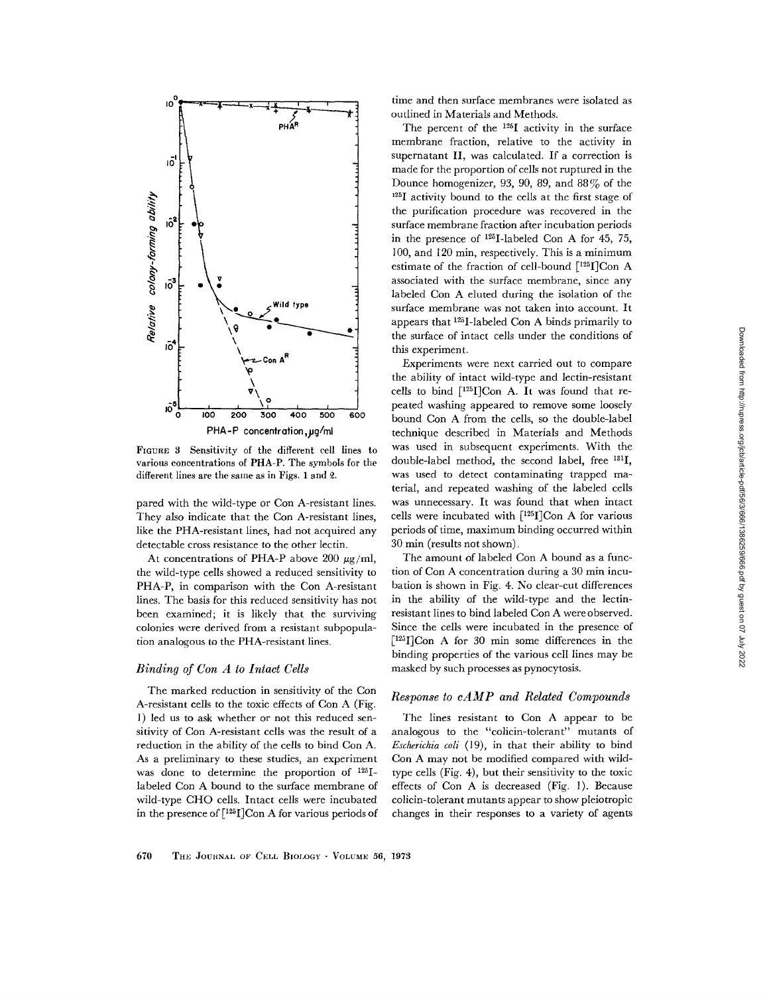

FIGURE 3 Sensitivity of the different cell lines to various concentrations of PHA-P. The symbols for the different lines are the same as in Figs. 1 and  $2$ .

pared with the wild-type or Con A-resistant lines. They also indicate that the Con A-resistant lines, like the PHA-resistant lines, had not acquired any detectable cross resistance to the other lectin.

At concentrations of PHA-P above 200  $\mu$ g/ml, the wild-type cells showed a reduced sensitivity to PHA-P, in comparison with the Con A-resistant lines. The basis for this reduced sensitivity has not been examined; it is likely that the surviving colonies were derived from a resistant subpopulation analogous to the PHA-resistant lines.

# *Binding of Con A to Intact CeUs*

The marked reduction in sensitivity of the Con A-resistant cells to the toxic effects of Con A (Fig. l) led us to ask whether or not this reduced sensitivity of Con A-resistant cells was the result of a reduction in the ability of the cells to bind Con A. As a preliminary to these studies, an experiment was done to determine the proportion of 125Ilabeled Con A bound to the surface membrane of wild-type CHO cells. Intact cells were incubated in the presence of  $\lceil 125 \rceil$ Con A for various periods of

time and then surface membranes were isolated as outlined in Materials and Methods.

The percent of the  $125I$  activity in the surface membrane fraction, relative to the activity in supernatant II, was calculated. If a correction is made for the proportion of cells not ruptured in the Dounce homogenizer, 93, 90, 89, and  $88\%$  of the '25I activity bound to the cells at the first stage of the purification procedure was recovered in the surface membrane fraction after incubation periods in the presence of  $125$ -labeled Con A for 45, 75, 100, and 120 min, respectively. This is a minimum estimate of the fraction of cell-bound [125I]Con A associated with the surface membrane, since any labeled Con A eluted during the isolation of the surface membrane was not taken into account. It appears that  $125$ I-labeled Con A binds primarily to the surface of intact cells under the conditions of this experiment.

Experiments were next carried out to compare the ability of intact wild-type and lectin-resistant cells to bind  $[125]$ Con A. It was found that repeated washing appeared to remove some loosely bound Con A from the cells, so the double-label technique described in Materials and Methods was used in subsequent experiments. With the double-labd method, the second label, free 131I, was used to detect contaminating trapped material, and repeated washing of the labeled cells was unnecessary. It was found that when intact cells were incubated with  $[125]$ Con A for various periods of time, maximum binding occurred within 30 min (results not shown).

The amount of labeled Con A bound as a function of Con A concentration during a 30 min incubation is shown in Fig. 4. No clear-cut differences in the ability of the wild-type and the lectinresistant lines to bind labeled Con A were observed. Since the cells were incubated in the presence of  $[125]$ Con A for 30 min some differences in the binding properties of the various cell lines may be masked by such processes as pynocytosis.

# *Response to cAMP and Related Compounds*

The lines resistant to Con A appear to be analogous to the "colicin-tolerant" mutants of *Escherichia coli* (19), in that their ability to bind Con A may not be modified compared with wildtype cells (Fig. 4), but their sensitivity to the toxic effects of Con A is decreased (Fig. 1). Because colicin-tolerant mutants appear to show pleiotropic changes in their responses to a variety of agents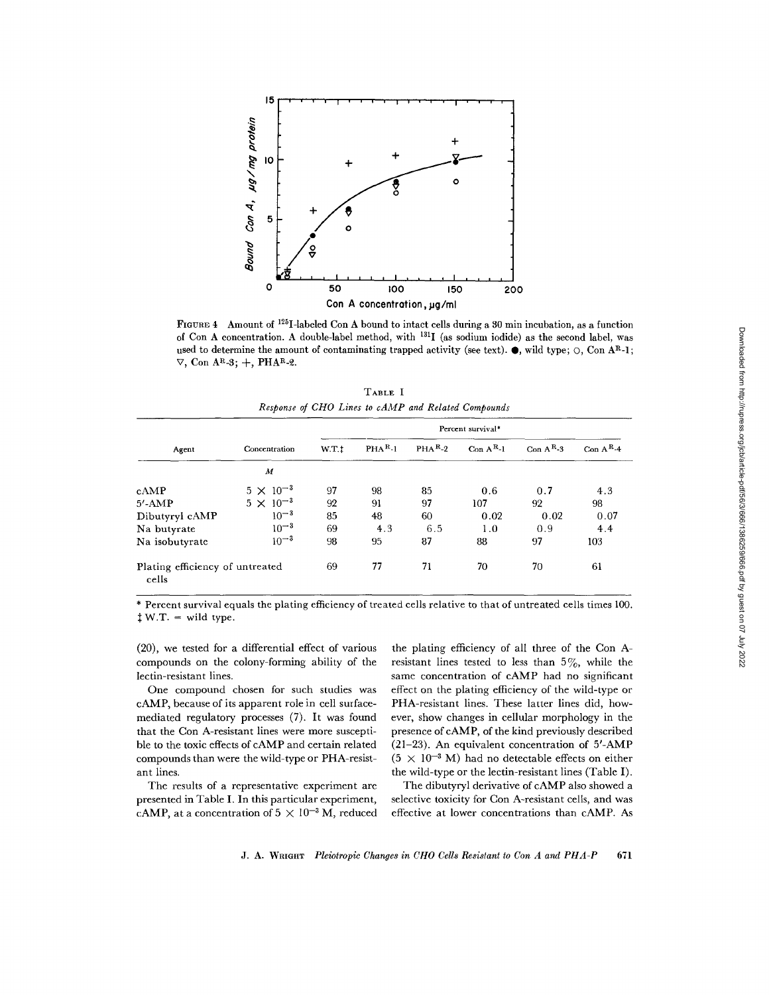

FIGURE 4 Amount of 125I-labeled Con A bound to intact cells during a 80 min incubation, as a function of Con A concentration. A double-label method, with 131I (as sodium iodide) as the second label, was used to determine the amount of contaminating trapped activity (see text).  $\bullet$ , wild type;  $\circ$ , Con AR-1;  $\nabla$ , Con AR-3; +, PHAR-2.

**TABLE I**  *Response of CHO Lines to cAMP and Related Compounds* 

|                                          | Concentration      | Percent survival* |          |          |             |             |             |  |
|------------------------------------------|--------------------|-------------------|----------|----------|-------------|-------------|-------------|--|
| Agent                                    |                    | W.T.t             | $PHAR-1$ | $PHAR-2$ | Con $A^R-1$ | Con $A^R-3$ | Con $A^R-4$ |  |
|                                          | М                  |                   |          |          |             |             |             |  |
| cAMP                                     | $5 \times 10^{-3}$ | 97                | 98       | 85       | 0.6         | 0.7         | 4.3         |  |
| $5'$ -AMP                                | $5 \times 10^{-3}$ | 92                | 91       | 97       | 107         | 92          | 98          |  |
| Dibutyryl cAMP                           | $10^{-3}$          | 85                | 48       | 60       | 0.02        | 0.02        | 0.07        |  |
| Na butyrate                              | $10^{-3}$          | 69                | 4.3      | 6.5      | 1.0         | 0.9         | 4.4         |  |
| Na isobutyrate                           | $10^{-3}$          | 98                | 95       | 87       | 88          | 97          | 103         |  |
| Plating efficiency of untreated<br>cells |                    | 69                | 77       | 71       | 70          | 70          | 61          |  |

\* Percent survival equals the plating efficiency of treated cells relative to that of untreated cells times 100.  $\ddagger$  W.T. = wild type.

(20), we tested for a differential effect of various compounds on the colony-forming ability of the lectin-resistant lines.

One compound chosen for such studies was cAMP, because of its apparent role in cell surfacemediated regulatory processes (7). It was found that the Con A-resistant lines were more susceptible to the toxic effects of cAMP and certain related compounds than were the wild-type or PHA-resistant lines.

The results of a representative experiment are presented in Table I. In this particular experiment, cAMP, at a concentration of  $5 \times 10^{-3}$  M, reduced

the plating efficiency of all three of the Con Aresistant lines tested to less than  $5\%$ , while the same concentration of cAMP had no significant effect on the plating efficiency of the wild-type or PHA-resistant lines. These latter lines did, however, show changes in cellular morphology in the presence of cAMP, of the kind previously described (21-23). An equivalent concentration of 5'-AMP  $(5 \times 10^{-3}$  M) had no detectable effects on either the wild-type or the lectin-resistant lines (Table I).

The dibutyryl derivative of cAMP also showed a selective toxicity for Con A-resistant cells, and was effective at lower concentrations than cAMP. As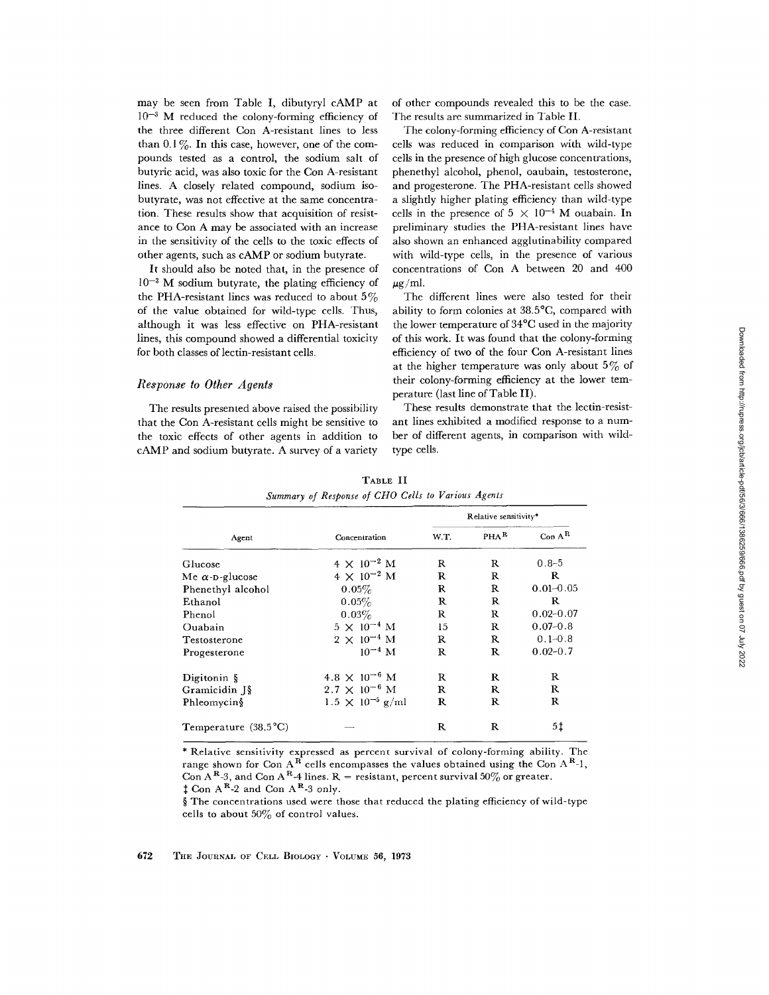may be seen from Table I, dibutyryl cAMP at  $10^{-3}$  M reduced the colony-forming efficiency of the three different Con A-resistant lines to less than  $0.1\%$ . In this case, however, one of the compounds tested as a control, the sodium salt of butyric acid, was also toxic for the Con A-resistant lines. A closely related compound, sodium isobutyrate, was not effective at the same concentration. These results show that acquisition of resistance to Con A may be associated with an increase in the sensitivity of the cells to the toxic effects of other agents, such as cAMP or sodium butyrate.

It should also be noted that, in the presence of  $10^{-3}$  M sodium butyrate, the plating efficiency of the PHA-resistant lines was reduced to about  $5\%$ of the value obtained for wild-type cells. Thus, although it was less effective on PHA-resistant lines, this compound showed a differential toxicity for both classes of lectin-resistant cells.

#### *Response to Other Agents*

The results presented above raised the possibility that the Con A-resistant cells might be sensitive to the toxic effects of other agents in addition to cAMP and sodium butyrate. A survey of a variety

of other compounds revealed this to be the case. The results are summarized in Table II.

The colony-forming efficiency of Con A-resistant cells was reduced in comparison with wild-type cells in the presence of high glucose concentrations, phenethyl alcohol, phenol, oaubain, testosterone, and progesterone. The PHA-resistant cells showed a slightly higher plating efficiency than wild-type cells in the presence of  $5 \times 10^{-4}$  M ouabain. In preliminary studies the PHA-resistant lines have also shown an enhanced agglutinability compared with wild-type cells, in the presence of various concentrations of Con A between 20 and 400  $\mu$ g/ml.

The different lines were also tested for their ability to form colonies at 38.5°C, compared with the lower temperature of 34°C used in the majority of this work. It was found that the colony-forming efficiency of two of the four Con A-resistant lines at the higher temperature was only about  $5\%$  of their colony-forming efficiency at the lower temperature (last line of Table II).

These results demonstrate that the lectin-resistant lines exhibited a modified response to a number of different agents, in comparison with wildtype cells.

|                               |                           | Relative sensitivity* |         |               |  |
|-------------------------------|---------------------------|-----------------------|---------|---------------|--|
| Agent                         | Concentration             | W.T.                  | $PHA^R$ | $Con A^R$     |  |
| Glucose                       | $4 \times 10^{-2}$ M      | R                     | R       | $0.8 - 5$     |  |
| Me $\alpha$ -p-glucose        | $4 \times 10^{-2}$ M      | R                     | R       | R             |  |
| Phenethyl alcohol             | $0.05\%$                  | R                     | R       | $0.01 - 0.05$ |  |
| Ethanol                       | 0.05%                     | R                     | R       | R             |  |
| Phenol                        | 0.03%                     | R                     | R       | $0.02 - 0.07$ |  |
| Ouabain                       | $5 \times 10^{-4}$ M      | 15                    | R       | $0.07 - 0.8$  |  |
| Testosterone                  | $2 \times 10^{-4}$ M      | R                     | R       | $0.1 - 0.8$   |  |
| Progesterone                  | $10^{-4}$ M               | R                     | R       | $0.02 - 0.7$  |  |
| Digitonin $\S$                | $4.8 \times 10^{-6}$ M    | R                     | R       | R             |  |
| Gramicidin J§                 | $2.7 \times 10^{-6}$ M    | R                     | R       | R.            |  |
| Phleomycin§                   | $1.5 \times 10^{-5}$ g/ml | R                     | R       | R             |  |
| Temperature $(38.5^{\circ}C)$ |                           | R                     | R       | 5‡            |  |

**TABLE** II *Summary of Response of CHO Cells to Various Agents* 

\* Relative sensitivity expressed as percent survival of colony-forming ability. The range shown for Con  $A^R$  cells encompasses the values obtained using the Con  $A^R$ -1, Con A<sup>R</sup>-3, and Con A<sup>R</sup>-4 lines. R = resistant, percent survival 50% or greater.  $\uparrow$  Con A<sup>R</sup>-2 and Con A<sup>R</sup>-3 only.

§ The concentrations used were those that reduced the plating efficiency of wild-type cells to about 50% of control values.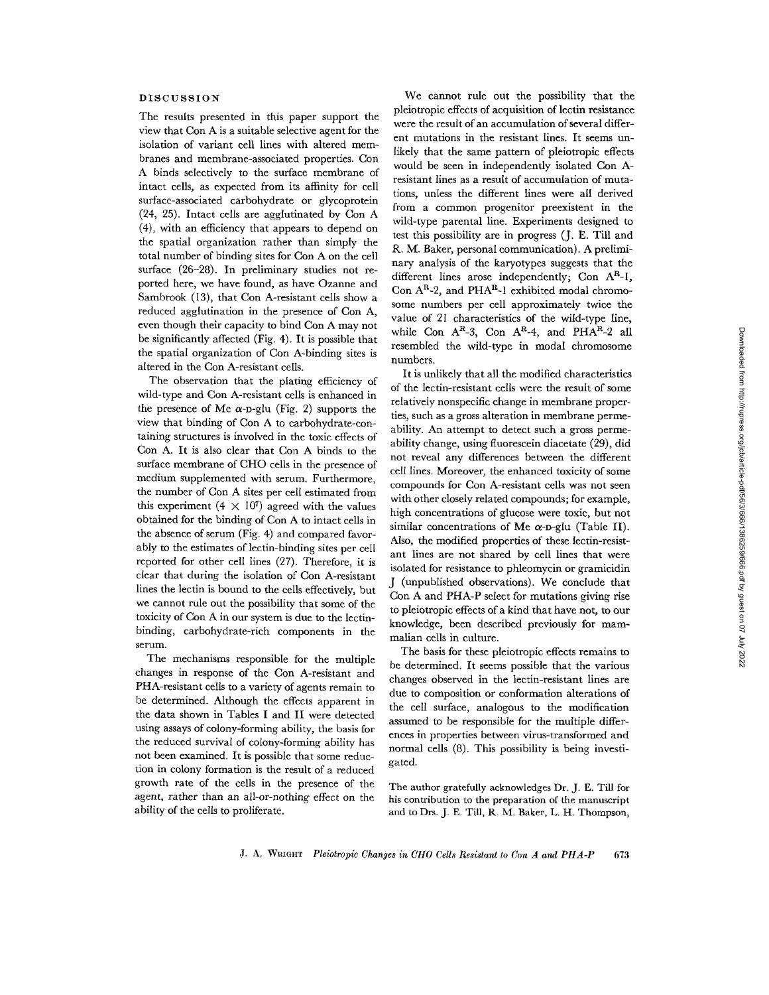# DISCUSSION

The results presented in this paper support the view that Con A is a suitable selective agent for the isolation of variant cell lines with altered membranes and membrane-associated properties. Con A binds selectively to the surface membrane of intact cells, as expected from its affinity for cell surface-associated carbohydrate or glycoprotein (24, 25). Intact cells are agglutinated by Con A (4), with an efficiency that appears to depend on the spatial organization rather than simply the total number of binding sites for Con A on the cell surface (26-28). In preliminary studies not reported here, we have found, as have Ozanne and Sambrook (13), that Con A-resistant cells show a reduced agglutination in the presence of Con A, even though their capacity to bind Con A may not be significantly affected (Fig. 4). It is possible that the spatial organization of Con A-binding sites is altered in the Con A-resistant ceils.

The observation that the plating efficiency of wild-type and Con A-resistant cells is enhanced in the presence of Me  $\alpha$ -p-glu (Fig. 2) supports the view that binding of Con A to carbohydrate-containing structures is involved in the toxic effects of Con A. It is also clear that Con A binds to the surface membrane of CHO cells in the presence of medium supplemented with serum. Furthermore, the number of Con A sites per cell estimated from this experiment  $(4 \times 10^7)$  agreed with the values obtained for the binding of Con A to intact cells in the absence of serum (Fig. 4) and compared favorably to the estimates of lectin-binding sites per cell reported for other cell lines (27). Therefore, it is clear that during the isolation of Con A-resistant lines the lectin is bound to the ceils effectively, but we cannot rule out the possibility that some of the toxicity of Con A in our system is due to the lectinbinding, carbohydrate-rich components in the serum.

The mechanisms responsible for the multiple changes in response of the Con A-resistant and PHA-resistant cells to a variety of agents remain to be determined. Although the effects apparent in the data shown in Tables I and II were detected using assays of colony-forming ability, the basis for the reduced survival of colony-forming ability has not been examined. It is possible that some reduction in colony formation is the result of a reduced growth rate of the cells in the presence of the agent, rather than an all-or-nothing effect on the ability of the cells to proliferate.

We cannot rule out the possibility that the pleiotropic effects of acquisition of lectin resistance were the result of an accumulation of several different mutations in the resistant lines. It seems unlikely that the same pattern of pleiotropic effects would be seen in independently isolated Con Aresistant lines as a result of accumulation of mutations, unless the different lines were aI1 derived from a common progenitor preexistent in the wild-type parental line. Experiments designed to test this possibility are in progress (J. E. Till and R. M. Baker, personal communication). A preliminary analysis of the karyotypes suggests that the different lines arose independently; Con  $A^R$ -1, Con  $A^R-2$ , and PH $A^R-1$  exhibited modal chromosome numbers per cell approximately twice the value of 21 characteristics of the wild-type line, while Con  $A^R-3$ , Con  $A^R-4$ , and PHA<sup>R</sup>-2 all resembled the wild-type in modal chromosome numbers.

It is unlikely that all the modified characteristics of the lectin-resistant cells were the result of some relatively nonspecific change in membrane properties, such as a gross alteration in membrane permeability. An attempt to detect such a gross permeability change, using fluorescein diacetate (29), did not reveal any differences between the different cell lines. Moreover, the enhanced toxicity of some compounds for Con A-resistant cells was not seen with other closely related compounds; for example, high concentrations of glucose were toxic, but not similar concentrations of Me  $\alpha$ -p-glu (Table II). Also, the modified properties of these lectin-resistant lines are not shared by cell lines that were isolated for resistance to phleomycin or gramicidin J (unpublished observations). We conclude that Con A and PHA-P select for mutations giving rise to pleiotropic effects of a kind that have not, to our knowledge, been described previously for mammalian cells in culture.

The basis for these pleiotropic effects remains to be determined. It seems possible that the various changes observed in the lectin-resistant lines are due to composition or conformation alterations of the cell surface, analogous to the modification assumed to be responsible for the multiple differences in properties between virus-transformed and normal cells (8). This possibility is being investigated.

The author gratefully acknowledges Dr. J. E. Till for his contribution to the preparation of the manuscript and to Drs. J. E. Till, R, M. Baker, L. H. Thompson,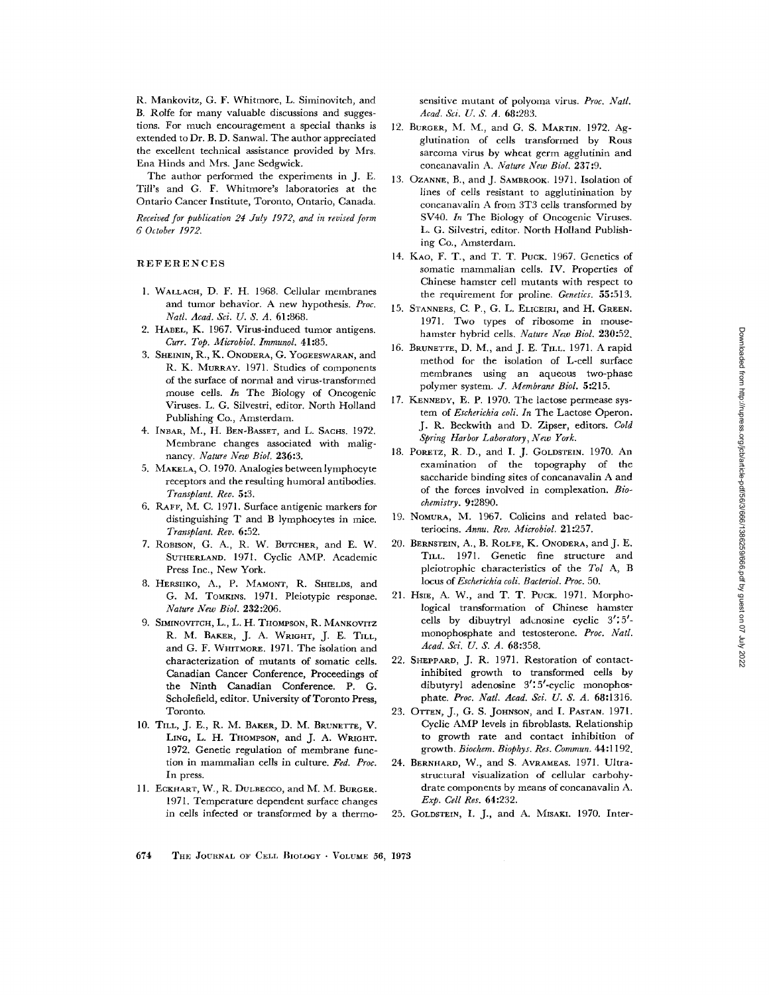R. Mankovitz, G. F. Whitmore, L. Siminoviteh, and B. Rolfe for many valuable discussions and suggestions. For much encouragement a special thanks is extended to Dr. B. D. Sanwal. The author appreciated the excellent technical assistance provided by Mrs. Ena Hinds and Mrs. Jane Sedgwick.

The author performed the experiments in J. E. Till's and G. F. Whitmore's laboratories at the Ontario Cancer Institute, Toronto, Ontario, Canada.

*Received for publication 24 July 1972, and in revised form 6 October 1972.* 

#### REFERENCES

- 1. WALLACH, D. F. H. 1968. Cellular membranes and tumor behavior. A new hypothesis. *Proc. Natl. Acad. Sci. U. S. A.* 61:868.
- 2. HABEL, K. 1967. Virus-induced tumor antigens. *CurT. Top. MicrobioL Immunol.* 41:85.
- 3. SHEININ, R., K. ONODERA, G. YOGEESWARAN, and R. K. MURRAY. 1971. Studies of components of the surface of normal and virus-transformed mouse cells. *In* The Biology of Oneogenie Viruses. L. G. Silvestri, editor. North Holland Publishing Co., Amsterdam.
- 4. INBAR, M., H. BEN-BASSET, and L. SACHS. 1972. Membrane changes associated with malignancy. *Nature New Biol.* 236:3.
- 5. MAKELA, O. 1970. Analogies between lymphocyte receptors and the resulting humoral antibodies. *Transplant. Re~.* 5:3.
- 6. RAFF, M. C. 1971. Surface antigenic markers for distinguishing T and B lymphocytes in mice. *Transplant. Rev.* 6:52.
- 7. ROBISON, G. A., R. W. BUTCHER, and E. W. SUTHERLAND. 1971. Cyclic AMP. Academic Press Inc., New York.
- 8. HERSHKO, A., P. MAMONT, R. SmELDS, and G. M. TOMKINS. 1971. Pleiotypic response. *Nature New Biol.* 232:206.
- 9. SIMINOVITCH, L., L. H. THOMPSON, R. MANKOVITZ R. M. BAKER, J. A. WRIGHT, J. E. TILL, and G. F. WHITMORE, 1971. The isolation and characterization of mutants of somatic cells. Canadian Cancer Conference, Proceedings of the Ninth Canadian Conference. P. G. Scholefield, editor. University of Toronto Press, Toronto,
- 10. TILL, J. E., R. M. BAKER, D. M. BRUNETTE, V. LING, L. H. THOMPSON, and J. A. WRIGHT. 1972. Genetic regulation of membrane function in mammalian ceils in culture. *Fed. Proc.*  In press.
- 11. ECKHART, W., R. DULBECCO, and M. M. BURGER. 1971. Temperature dependent surface changes in cells infected or transformed by a thermo-

sensitive mutant of polyoma virus. *Proc. Natl. Acad. Sci. U. S. A.* 68:283.

- 12. BURGER, M. M., and G. S. MARTIN. 1972. Agglutination of cells transformed by Rous sarcoma virus by wheat germ agglutinin and concanavalin A. *Nature New Biol.* 237:9.
- 13. OZANNE, B., and J. SAMBROOK. 1971. Isolation of lines of cells resistant to agglutinination by concanavalin A from 3T3 cells transformed by SV40. In The Biology of Oncogenic Viruses. L. G. Silvestri, editor. North Holland Publishing Co., Amsterdam.
- 14. KAO, F. T., and T. T. PucK. 1967. Genetics of somatic mammalian cells. IV. Properties of Chinese hamster cell mutants with respect to the requirement for proline. *Genetics.* 55:513.
- 15. STANNERS, C. P., G. L. ELICEIRI, and H. GREEN. 1971. Two types of ribosome in mousehamster hybrid cells. *Nature New Biol.* 230:52.
- 16. BRUNETTE, D. M., and J. E. TILL. 1971. A rapid method for the isolation of L-cell surface membranes using an aqueous two-phase polymer system. *J. Membrane Biol.* 5:215.
- 17. KENNEDY, E. P. 1970. The lactose permease system of *Escherichia coli. In* The Lactose Operon. J. R. Beckwith and D. Zipser, editors. *Cold Spring Harbor Laboratory, New York.*
- 18. PORETZ, R. D., and I. J. GOLDSTEIN. 1970. An examination of the topography of the saccharide binding sites of concanavalin A and of the forces involved in complexation. *Biochemistry.* 9:2890.
- 19. NOMURA, M. 1967. Colicins and related bacteriocins. *Annu. Rev. Microbiol.* 21:257.
- 20. BERNSTEIN, A., B. ROLFE, K. ONODERA, and J. E. TILL. 1971. Genetic fine structure and pleiotrophic characteristics of the *Tol A, B locus of Escherichia coli. Bacteriol. Prop.* 50.
- 21. HSIE, A. W., and T. T. PocK. 1971. Morphological transformation of Chinese hamster cells by dibuytryl adenosine cyclic  $3'$ :5'monophosphate and testosterone. Proc. Natl. *Acad. Sci. U. S. A.* 68:358.
- 22. SHEPPARO, J. R. 1971. Restoration of contactinhibited growth to transformed cells by dibutyryl adenosine 3':5'-cyclic monophosphate. *Proc. Natl. Acad. Sci. U. S. A.* 68:1316,
- 23. OTTEN, J., G. S. JOHNSON, and I. PASTAN. 1971. Cyclic AMP levels in fibroblasts. Relationship to growth rate and contact inhibition of growth. *Biochem. Biophys. Res. Commun.* 44:1192.
- 24. BERNHARD, W., and S. AVRAMEAS. 1971. Ultrastructural visualization of cellular carbohydrate components by means of eoncanavalin A. *Exp. Cell Res.* 64:232.
- 25. GOLDSTEIN, I. J., and A. MISAKI. 1970. Inter-

674 THE JOURNAL OF CELL BIOLOGY • VOLUME 56, 1973